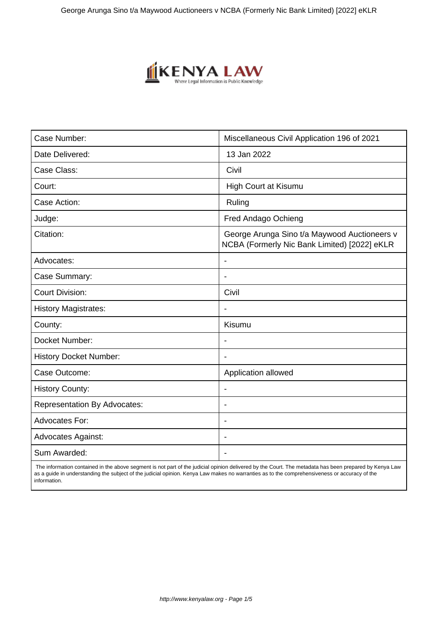

| Case Number:                        | Miscellaneous Civil Application 196 of 2021                                                  |
|-------------------------------------|----------------------------------------------------------------------------------------------|
| Date Delivered:                     | 13 Jan 2022                                                                                  |
| Case Class:                         | Civil                                                                                        |
| Court:                              | <b>High Court at Kisumu</b>                                                                  |
| Case Action:                        | Ruling                                                                                       |
| Judge:                              | Fred Andago Ochieng                                                                          |
| Citation:                           | George Arunga Sino t/a Maywood Auctioneers v<br>NCBA (Formerly Nic Bank Limited) [2022] eKLR |
| Advocates:                          |                                                                                              |
| Case Summary:                       |                                                                                              |
| <b>Court Division:</b>              | Civil                                                                                        |
| <b>History Magistrates:</b>         | $\overline{\phantom{a}}$                                                                     |
| County:                             | Kisumu                                                                                       |
| Docket Number:                      |                                                                                              |
| <b>History Docket Number:</b>       |                                                                                              |
| Case Outcome:                       | Application allowed                                                                          |
| <b>History County:</b>              | $\blacksquare$                                                                               |
| <b>Representation By Advocates:</b> | $\overline{\phantom{a}}$                                                                     |
| Advocates For:                      | $\overline{\phantom{a}}$                                                                     |
| <b>Advocates Against:</b>           |                                                                                              |
| Sum Awarded:                        |                                                                                              |

 The information contained in the above segment is not part of the judicial opinion delivered by the Court. The metadata has been prepared by Kenya Law as a guide in understanding the subject of the judicial opinion. Kenya Law makes no warranties as to the comprehensiveness or accuracy of the information.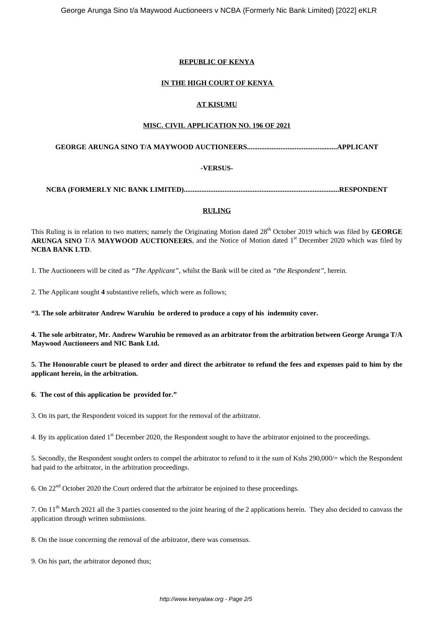# **REPUBLIC OF KENYA**

# **IN THE HIGH COURT OF KENYA**

# **AT KISUMU**

#### **MISC. CIVIL APPLICATION NO. 196 OF 2021**

**GEORGE ARUNGA SINO T/A MAYWOOD AUCTIONEERS...................................................APPLICANT**

#### **-VERSUS-**

**NCBA (FORMERLY NIC BANK LIMITED)........................................................................................RESPONDENT**

# **RULING**

This Ruling is in relation to two matters; namely the Originating Motion dated 28<sup>th</sup> October 2019 which was filed by **GEORGE ARUNGA SINO** T/A **MAYWOOD AUCTIONEERS**, and the Notice of Motion dated 1st December 2020 which was filed by **NCBA BANK LTD**.

1. The Auctioneers will be cited as *"The Applicant"*, whilst the Bank will be cited as *"the Respondent"*, herein.

2. The Applicant sought **4** substantive reliefs, which were as follows;

**"3. The sole arbitrator Andrew Waruhiu be ordered to produce a copy of his indemnity cover.**

**4. The sole arbitrator, Mr. Andrew Waruhiu be removed as an arbitrator from the arbitration between George Arunga T/A Maywood Auctioneers and NIC Bank Ltd.**

**5. The Honourable court be pleased to order and direct the arbitrator to refund the fees and expenses paid to him by the applicant herein, in the arbitration.**

**6. The cost of this application be provided for."**

3. On its part, the Respondent voiced its support for the removal of the arbitrator.

4. By its application dated 1<sup>st</sup> December 2020, the Respondent sought to have the arbitrator enjoined to the proceedings.

5. Secondly, the Respondent sought orders to compel the arbitrator to refund to it the sum of Kshs 290,000/= which the Respondent had paid to the arbitrator, in the arbitration proceedings.

6. On  $22<sup>nd</sup>$  October 2020 the Court ordered that the arbitrator be enjoined to these proceedings.

7. On 11th March 2021 all the 3 parties consented to the joint hearing of the 2 applications herein. They also decided to canvass the application through written submissions.

8. On the issue concerning the removal of the arbitrator, there was consensus.

9. On his part, the arbitrator deponed thus;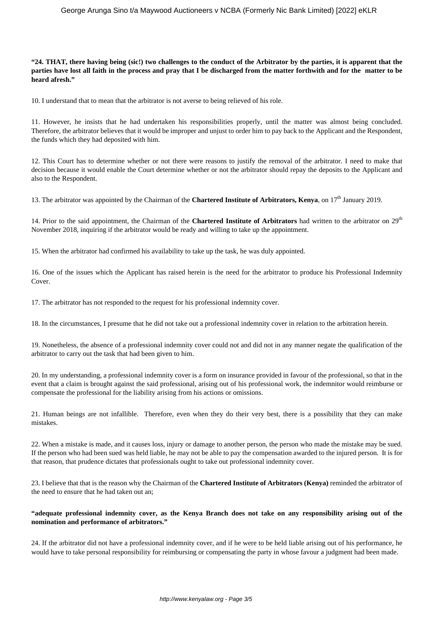#### **"24. THAT, there having being (sic!) two challenges to the conduct of the Arbitrator by the parties, it is apparent that the parties have lost all faith in the process and pray that I be discharged from the matter forthwith and for the matter to be heard afresh."**

10. I understand that to mean that the arbitrator is not averse to being relieved of his role.

11. However, he insists that he had undertaken his responsibilities properly, until the matter was almost being concluded. Therefore, the arbitrator believes that it would be improper and unjust to order him to pay back to the Applicant and the Respondent, the funds which they had deposited with him.

12. This Court has to determine whether or not there were reasons to justify the removal of the arbitrator. I need to make that decision because it would enable the Court determine whether or not the arbitrator should repay the deposits to the Applicant and also to the Respondent.

13. The arbitrator was appointed by the Chairman of the **Chartered Institute of Arbitrators, Kenya**, on 17<sup>th</sup> January 2019.

14. Prior to the said appointment, the Chairman of the **Chartered Institute of Arbitrators** had written to the arbitrator on 29th November 2018, inquiring if the arbitrator would be ready and willing to take up the appointment.

15. When the arbitrator had confirmed his availability to take up the task, he was duly appointed.

16. One of the issues which the Applicant has raised herein is the need for the arbitrator to produce his Professional Indemnity Cover.

17. The arbitrator has not responded to the request for his professional indemnity cover.

18. In the circumstances, I presume that he did not take out a professional indemnity cover in relation to the arbitration herein.

19. Nonetheless, the absence of a professional indemnity cover could not and did not in any manner negate the qualification of the arbitrator to carry out the task that had been given to him.

20. In my understanding, a professional indemnity cover is a form on insurance provided in favour of the professional, so that in the event that a claim is brought against the said professional, arising out of his professional work, the indemnitor would reimburse or compensate the professional for the liability arising from his actions or omissions.

21. Human beings are not infallible. Therefore, even when they do their very best, there is a possibility that they can make mistakes.

22. When a mistake is made, and it causes loss, injury or damage to another person, the person who made the mistake may be sued. If the person who had been sued was held liable, he may not be able to pay the compensation awarded to the injured person. It is for that reason, that prudence dictates that professionals ought to take out professional indemnity cover.

23. I believe that that is the reason why the Chairman of the **Chartered Institute of Arbitrators (Kenya)** reminded the arbitrator of the need to ensure that he had taken out an;

# **"adequate professional indemnity cover, as the Kenya Branch does not take on any responsibility arising out of the nomination and performance of arbitrators."**

24. If the arbitrator did not have a professional indemnity cover, and if he were to be held liable arising out of his performance, he would have to take personal responsibility for reimbursing or compensating the party in whose favour a judgment had been made.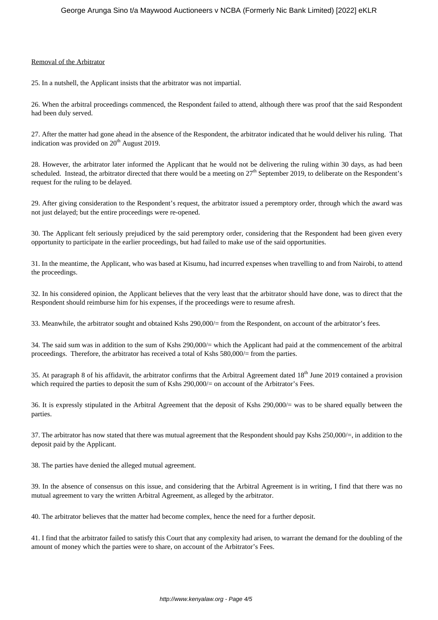#### Removal of the Arbitrator

25. In a nutshell, the Applicant insists that the arbitrator was not impartial.

26. When the arbitral proceedings commenced, the Respondent failed to attend, although there was proof that the said Respondent had been duly served.

27. After the matter had gone ahead in the absence of the Respondent, the arbitrator indicated that he would deliver his ruling. That indication was provided on 20<sup>th</sup> August 2019.

28. However, the arbitrator later informed the Applicant that he would not be delivering the ruling within 30 days, as had been scheduled. Instead, the arbitrator directed that there would be a meeting on 27<sup>th</sup> September 2019, to deliberate on the Respondent's request for the ruling to be delayed.

29. After giving consideration to the Respondent's request, the arbitrator issued a peremptory order, through which the award was not just delayed; but the entire proceedings were re-opened.

30. The Applicant felt seriously prejudiced by the said peremptory order, considering that the Respondent had been given every opportunity to participate in the earlier proceedings, but had failed to make use of the said opportunities.

31. In the meantime, the Applicant, who was based at Kisumu, had incurred expenses when travelling to and from Nairobi, to attend the proceedings.

32. In his considered opinion, the Applicant believes that the very least that the arbitrator should have done, was to direct that the Respondent should reimburse him for his expenses, if the proceedings were to resume afresh.

33. Meanwhile, the arbitrator sought and obtained Kshs 290,000/= from the Respondent, on account of the arbitrator's fees.

34. The said sum was in addition to the sum of Kshs 290,000/= which the Applicant had paid at the commencement of the arbitral proceedings. Therefore, the arbitrator has received a total of Kshs 580,000/= from the parties.

35. At paragraph 8 of his affidavit, the arbitrator confirms that the Arbitral Agreement dated 18<sup>th</sup> June 2019 contained a provision which required the parties to deposit the sum of Kshs 290,000/= on account of the Arbitrator's Fees.

36. It is expressly stipulated in the Arbitral Agreement that the deposit of Kshs 290,000/= was to be shared equally between the parties.

37. The arbitrator has now stated that there was mutual agreement that the Respondent should pay Kshs 250,000/=, in addition to the deposit paid by the Applicant.

38. The parties have denied the alleged mutual agreement.

39. In the absence of consensus on this issue, and considering that the Arbitral Agreement is in writing, I find that there was no mutual agreement to vary the written Arbitral Agreement, as alleged by the arbitrator.

40. The arbitrator believes that the matter had become complex, hence the need for a further deposit.

41. I find that the arbitrator failed to satisfy this Court that any complexity had arisen, to warrant the demand for the doubling of the amount of money which the parties were to share, on account of the Arbitrator's Fees.